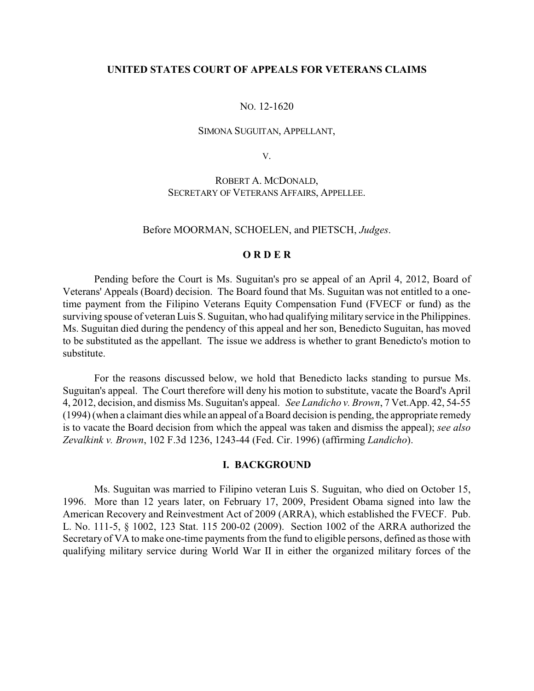## **UNITED STATES COURT OF APPEALS FOR VETERANS CLAIMS**

### NO. 12-1620

#### SIMONA SUGUITAN, APPELLANT,

V.

# ROBERT A. MCDONALD, SECRETARY OF VETERANS AFFAIRS, APPELLEE.

### Before MOORMAN, SCHOELEN, and PIETSCH, *Judges*.

## **O R D E R**

Pending before the Court is Ms. Suguitan's pro se appeal of an April 4, 2012, Board of Veterans' Appeals (Board) decision. The Board found that Ms. Suguitan was not entitled to a onetime payment from the Filipino Veterans Equity Compensation Fund (FVECF or fund) as the surviving spouse of veteran Luis S. Suguitan, who had qualifying military service in the Philippines. Ms. Suguitan died during the pendency of this appeal and her son, Benedicto Suguitan, has moved to be substituted as the appellant. The issue we address is whether to grant Benedicto's motion to substitute.

For the reasons discussed below, we hold that Benedicto lacks standing to pursue Ms. Suguitan's appeal. The Court therefore will deny his motion to substitute, vacate the Board's April 4, 2012, decision, and dismiss Ms. Suguitan's appeal. *See Landicho v. Brown*, 7 Vet.App. 42, 54-55 (1994) (when a claimant dies while an appeal of a Board decision is pending, the appropriate remedy is to vacate the Board decision from which the appeal was taken and dismiss the appeal); *see also Zevalkink v. Brown*, 102 F.3d 1236, 1243-44 (Fed. Cir. 1996) (affirming *Landicho*).

### **I. BACKGROUND**

Ms. Suguitan was married to Filipino veteran Luis S. Suguitan, who died on October 15, 1996. More than 12 years later, on February 17, 2009, President Obama signed into law the American Recovery and Reinvestment Act of 2009 (ARRA), which established the FVECF. Pub. L. No. 111-5, § 1002, 123 Stat. 115 200-02 (2009). Section 1002 of the ARRA authorized the Secretary of VA to make one-time payments from the fund to eligible persons, defined as those with qualifying military service during World War II in either the organized military forces of the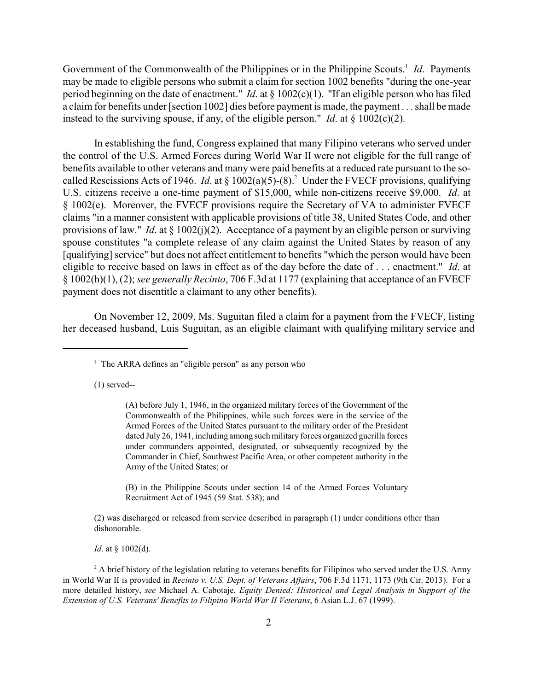Government of the Commonwealth of the Philippines or in the Philippine Scouts.<sup>1</sup> Id. Payments may be made to eligible persons who submit a claim for section 1002 benefits "during the one-year period beginning on the date of enactment." *Id*. at § 1002(c)(1). "If an eligible person who has filed a claim for benefits under [section 1002] dies before payment is made, the payment . . . shall be made instead to the surviving spouse, if any, of the eligible person." *Id*. at § 1002(c)(2).

In establishing the fund, Congress explained that many Filipino veterans who served under the control of the U.S. Armed Forces during World War II were not eligible for the full range of benefits available to other veterans and many were paid benefits at a reduced rate pursuant to the socalled Rescissions Acts of 1946. *Id.* at § 1002(a)(5)-(8).<sup>2</sup> Under the FVECF provisions, qualifying U.S. citizens receive a one-time payment of \$15,000, while non-citizens receive \$9,000. *Id*. at § 1002(e). Moreover, the FVECF provisions require the Secretary of VA to administer FVECF claims "in a manner consistent with applicable provisions of title 38, United States Code, and other provisions of law." *Id*. at § 1002(j)(2). Acceptance of a payment by an eligible person or surviving spouse constitutes "a complete release of any claim against the United States by reason of any [qualifying] service" but does not affect entitlement to benefits "which the person would have been eligible to receive based on laws in effect as of the day before the date of . . . enactment." *Id*. at § 1002(h)(1), (2); *see generally Recinto*, 706 F.3d at 1177 (explaining that acceptance of an FVECF payment does not disentitle a claimant to any other benefits).

On November 12, 2009, Ms. Suguitan filed a claim for a payment from the FVECF, listing her deceased husband, Luis Suguitan, as an eligible claimant with qualifying military service and

(1) served--

(B) in the Philippine Scouts under section 14 of the Armed Forces Voluntary Recruitment Act of 1945 (59 Stat. 538); and

(2) was discharged or released from service described in paragraph (1) under conditions other than dishonorable.

*Id.* at § 1002(d).

 $^2$  A brief history of the legislation relating to veterans benefits for Filipinos who served under the U.S. Army in World War II is provided in *Recinto v. U.S. Dept. of Veterans Affairs*, 706 F.3d 1171, 1173 (9th Cir. 2013). For a more detailed history, *see* Michael A. Cabotaje, *Equity Denied: Historical and Legal Analysis in Support of the Extension of U.S. Veterans' Benefits to Filipino World War II Veterans*, 6 Asian L.J. 67 (1999).

 $<sup>1</sup>$  The ARRA defines an "eligible person" as any person who</sup>

<sup>(</sup>A) before July 1, 1946, in the organized military forces of the Government of the Commonwealth of the Philippines, while such forces were in the service of the Armed Forces of the United States pursuant to the military order of the President dated July 26, 1941, including among such military forces organized guerilla forces under commanders appointed, designated, or subsequently recognized by the Commander in Chief, Southwest Pacific Area, or other competent authority in the Army of the United States; or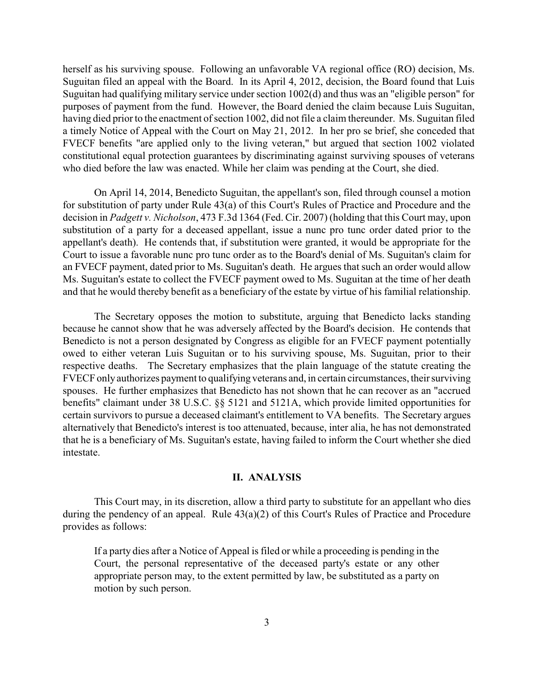herself as his surviving spouse. Following an unfavorable VA regional office (RO) decision, Ms. Suguitan filed an appeal with the Board. In its April 4, 2012, decision, the Board found that Luis Suguitan had qualifying military service under section 1002(d) and thus was an "eligible person" for purposes of payment from the fund. However, the Board denied the claim because Luis Suguitan, having died prior to the enactment of section 1002, did not file a claim thereunder. Ms. Suguitan filed a timely Notice of Appeal with the Court on May 21, 2012. In her pro se brief, she conceded that FVECF benefits "are applied only to the living veteran," but argued that section 1002 violated constitutional equal protection guarantees by discriminating against surviving spouses of veterans who died before the law was enacted. While her claim was pending at the Court, she died.

On April 14, 2014, Benedicto Suguitan, the appellant's son, filed through counsel a motion for substitution of party under Rule 43(a) of this Court's Rules of Practice and Procedure and the decision in *Padgett v. Nicholson*, 473 F.3d 1364 (Fed. Cir. 2007) (holding that this Court may, upon substitution of a party for a deceased appellant, issue a nunc pro tunc order dated prior to the appellant's death). He contends that, if substitution were granted, it would be appropriate for the Court to issue a favorable nunc pro tunc order as to the Board's denial of Ms. Suguitan's claim for an FVECF payment, dated prior to Ms. Suguitan's death. He argues that such an order would allow Ms. Suguitan's estate to collect the FVECF payment owed to Ms. Suguitan at the time of her death and that he would thereby benefit as a beneficiary of the estate by virtue of his familial relationship.

The Secretary opposes the motion to substitute, arguing that Benedicto lacks standing because he cannot show that he was adversely affected by the Board's decision. He contends that Benedicto is not a person designated by Congress as eligible for an FVECF payment potentially owed to either veteran Luis Suguitan or to his surviving spouse, Ms. Suguitan, prior to their respective deaths. The Secretary emphasizes that the plain language of the statute creating the FVECF only authorizes payment to qualifying veterans and, in certain circumstances, their surviving spouses. He further emphasizes that Benedicto has not shown that he can recover as an "accrued benefits" claimant under 38 U.S.C. §§ 5121 and 5121A, which provide limited opportunities for certain survivors to pursue a deceased claimant's entitlement to VA benefits. The Secretary argues alternatively that Benedicto's interest is too attenuated, because, inter alia, he has not demonstrated that he is a beneficiary of Ms. Suguitan's estate, having failed to inform the Court whether she died intestate.

## **II. ANALYSIS**

This Court may, in its discretion, allow a third party to substitute for an appellant who dies during the pendency of an appeal. Rule 43(a)(2) of this Court's Rules of Practice and Procedure provides as follows:

If a party dies after a Notice of Appeal is filed or while a proceeding is pending in the Court, the personal representative of the deceased party's estate or any other appropriate person may, to the extent permitted by law, be substituted as a party on motion by such person.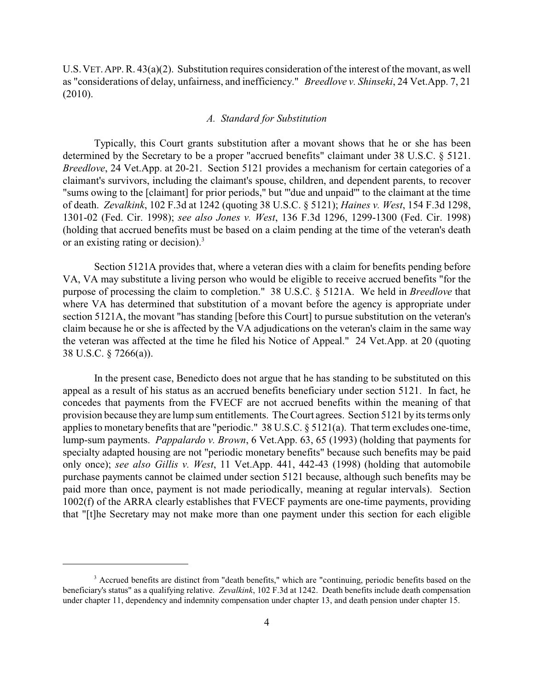U.S.VET.APP. R. 43(a)(2). Substitution requires consideration of the interest of the movant, as well as "considerations of delay, unfairness, and inefficiency." *Breedlove v. Shinseki*, 24 Vet.App. 7, 21 (2010).

### *A. Standard for Substitution*

Typically, this Court grants substitution after a movant shows that he or she has been determined by the Secretary to be a proper "accrued benefits" claimant under 38 U.S.C. § 5121. *Breedlove*, 24 Vet.App. at 20-21. Section 5121 provides a mechanism for certain categories of a claimant's survivors, including the claimant's spouse, children, and dependent parents, to recover "sums owing to the [claimant] for prior periods," but "'due and unpaid'" to the claimant at the time of death. *Zevalkink*, 102 F.3d at 1242 (quoting 38 U.S.C. § 5121); *Haines v. West*, 154 F.3d 1298, 1301-02 (Fed. Cir. 1998); *see also Jones v. West*, 136 F.3d 1296, 1299-1300 (Fed. Cir. 1998) (holding that accrued benefits must be based on a claim pending at the time of the veteran's death or an existing rating or decision).<sup>3</sup>

Section 5121A provides that, where a veteran dies with a claim for benefits pending before VA, VA may substitute a living person who would be eligible to receive accrued benefits "for the purpose of processing the claim to completion." 38 U.S.C. § 5121A. We held in *Breedlove* that where VA has determined that substitution of a movant before the agency is appropriate under section 5121A, the movant "has standing [before this Court] to pursue substitution on the veteran's claim because he or she is affected by the VA adjudications on the veteran's claim in the same way the veteran was affected at the time he filed his Notice of Appeal." 24 Vet.App. at 20 (quoting 38 U.S.C. § 7266(a)).

In the present case, Benedicto does not argue that he has standing to be substituted on this appeal as a result of his status as an accrued benefits beneficiary under section 5121. In fact, he concedes that payments from the FVECF are not accrued benefits within the meaning of that provision because they are lump sum entitlements. The Court agrees. Section 5121 by its terms only applies to monetary benefits that are "periodic." 38 U.S.C. § 5121(a). That term excludes one-time, lump-sum payments. *Pappalardo v. Brown*, 6 Vet.App. 63, 65 (1993) (holding that payments for specialty adapted housing are not "periodic monetary benefits" because such benefits may be paid only once); *see also Gillis v. West*, 11 Vet.App. 441, 442-43 (1998) (holding that automobile purchase payments cannot be claimed under section 5121 because, although such benefits may be paid more than once, payment is not made periodically, meaning at regular intervals). Section 1002(f) of the ARRA clearly establishes that FVECF payments are one-time payments, providing that "[t]he Secretary may not make more than one payment under this section for each eligible

<sup>&</sup>lt;sup>3</sup> Accrued benefits are distinct from "death benefits," which are "continuing, periodic benefits based on the beneficiary's status" as a qualifying relative. *Zevalkink*, 102 F.3d at 1242. Death benefits include death compensation under chapter 11, dependency and indemnity compensation under chapter 13, and death pension under chapter 15.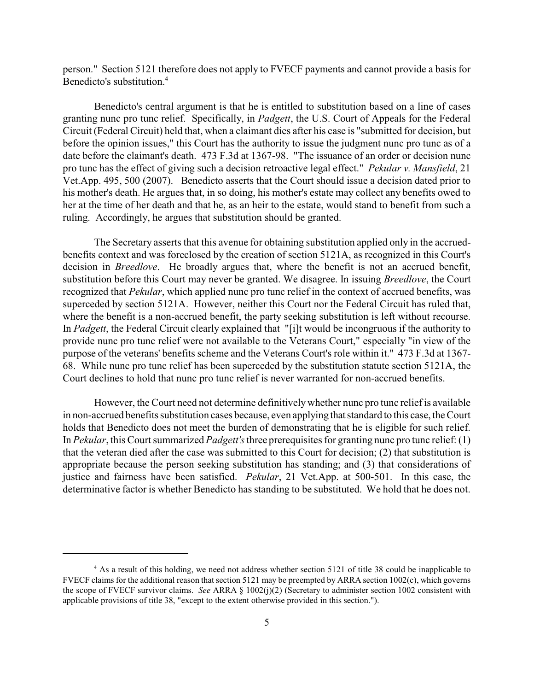person." Section 5121 therefore does not apply to FVECF payments and cannot provide a basis for Benedicto's substitution.<sup>4</sup>

Benedicto's central argument is that he is entitled to substitution based on a line of cases granting nunc pro tunc relief. Specifically, in *Padgett*, the U.S. Court of Appeals for the Federal Circuit (Federal Circuit) held that, when a claimant dies after his case is "submitted for decision, but before the opinion issues," this Court has the authority to issue the judgment nunc pro tunc as of a date before the claimant's death. 473 F.3d at 1367-98. "The issuance of an order or decision nunc pro tunc has the effect of giving such a decision retroactive legal effect." *Pekular v. Mansfield*, 21 Vet.App. 495, 500 (2007). Benedicto asserts that the Court should issue a decision dated prior to his mother's death. He argues that, in so doing, his mother's estate may collect any benefits owed to her at the time of her death and that he, as an heir to the estate, would stand to benefit from such a ruling. Accordingly, he argues that substitution should be granted.

The Secretary asserts that this avenue for obtaining substitution applied only in the accruedbenefits context and was foreclosed by the creation of section 5121A, as recognized in this Court's decision in *Breedlove*. He broadly argues that, where the benefit is not an accrued benefit, substitution before this Court may never be granted. We disagree. In issuing *Breedlove*, the Court recognized that *Pekular*, which applied nunc pro tunc relief in the context of accrued benefits, was superceded by section 5121A. However, neither this Court nor the Federal Circuit has ruled that, where the benefit is a non-accrued benefit, the party seeking substitution is left without recourse. In *Padgett*, the Federal Circuit clearly explained that "[i]t would be incongruous if the authority to provide nunc pro tunc relief were not available to the Veterans Court," especially "in view of the purpose of the veterans' benefits scheme and the Veterans Court's role within it." 473 F.3d at 1367- 68. While nunc pro tunc relief has been superceded by the substitution statute section 5121A, the Court declines to hold that nunc pro tunc relief is never warranted for non-accrued benefits.

However, the Court need not determine definitivelywhether nunc pro tunc reliefis available in non-accrued benefits substitution cases because, even applying that standard to this case, the Court holds that Benedicto does not meet the burden of demonstrating that he is eligible for such relief. In *Pekular*, this Court summarized *Padgett's* three prerequisites for granting nunc pro tunc relief: (1) that the veteran died after the case was submitted to this Court for decision; (2) that substitution is appropriate because the person seeking substitution has standing; and (3) that considerations of justice and fairness have been satisfied. *Pekular*, 21 Vet.App. at 500-501. In this case, the determinative factor is whether Benedicto has standing to be substituted. We hold that he does not.

<sup>&</sup>lt;sup>4</sup> As a result of this holding, we need not address whether section 5121 of title 38 could be inapplicable to FVECF claims for the additional reason that section 5121 may be preempted by ARRA section 1002(c), which governs the scope of FVECF survivor claims. *See* ARRA § 1002(j)(2) (Secretary to administer section 1002 consistent with applicable provisions of title 38, "except to the extent otherwise provided in this section.").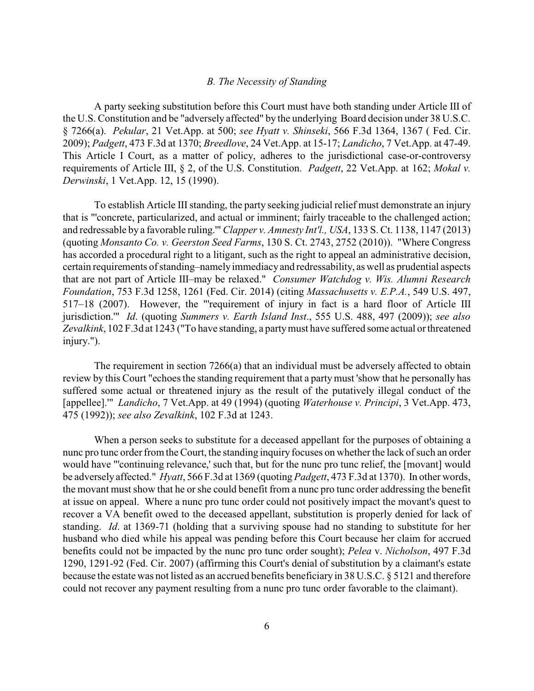## *B. The Necessity of Standing*

A party seeking substitution before this Court must have both standing under Article III of the U.S. Constitution and be "adversely affected" by the underlying Board decision under 38 U.S.C. § 7266(a). *Pekular*, 21 Vet.App. at 500; *see Hyatt v. Shinseki*, 566 F.3d 1364, 1367 ( Fed. Cir. 2009); *Padgett*, 473 F.3d at 1370; *Breedlove*, 24 Vet.App. at 15-17; *Landicho*, 7 Vet.App. at 47-49. This Article I Court, as a matter of policy, adheres to the jurisdictional case-or-controversy requirements of Article III, § 2, of the U.S. Constitution. *Padgett*, 22 Vet.App. at 162; *Mokal v. Derwinski*, 1 Vet.App. 12, 15 (1990).

To establish Article III standing, the party seeking judicial relief must demonstrate an injury that is "'concrete, particularized, and actual or imminent; fairly traceable to the challenged action; and redressable by a favorable ruling.'" *Clapper v. Amnesty Int'l., USA*, 133 S. Ct. 1138, 1147 (2013) (quoting *Monsanto Co. v. Geerston Seed Farms*, 130 S. Ct. 2743, 2752 (2010)). "Where Congress has accorded a procedural right to a litigant, such as the right to appeal an administrative decision, certain requirements of standing–namelyimmediacyand redressability, as well as prudential aspects that are not part of Article III–may be relaxed." *Consumer Watchdog v. Wis. Alumni Research Foundation*, 753 F.3d 1258, 1261 (Fed. Cir. 2014) (citing *Massachusetts v. E.P.A.*, 549 U.S. 497, 517–18 (2007). However, the "'requirement of injury in fact is a hard floor of Article III jurisdiction.'" *Id*. (quoting *Summers v. Earth Island Inst*., 555 U.S. 488, 497 (2009)); *see also Zevalkink*, 102 F.3d at 1243 ("To have standing, a partymust have suffered some actual or threatened injury.").

The requirement in section 7266(a) that an individual must be adversely affected to obtain review by this Court "echoes the standing requirement that a partymust 'show that he personally has suffered some actual or threatened injury as the result of the putatively illegal conduct of the [appellee].'" *Landicho*, 7 Vet.App. at 49 (1994) (quoting *Waterhouse v. Principi*, 3 Vet.App. 473, 475 (1992)); *see also Zevalkink*, 102 F.3d at 1243.

When a person seeks to substitute for a deceased appellant for the purposes of obtaining a nunc pro tunc order from the Court, the standing inquiry focuses on whether the lack of such an order would have "'continuing relevance,' such that, but for the nunc pro tunc relief, the [movant] would be adversely affected." *Hyatt*, 566 F.3d at 1369 (quoting *Padgett*, 473 F.3d at 1370). In other words, the movant must show that he or she could benefit from a nunc pro tunc order addressing the benefit at issue on appeal. Where a nunc pro tunc order could not positively impact the movant's quest to recover a VA benefit owed to the deceased appellant, substitution is properly denied for lack of standing. *Id*. at 1369-71 (holding that a surviving spouse had no standing to substitute for her husband who died while his appeal was pending before this Court because her claim for accrued benefits could not be impacted by the nunc pro tunc order sought); *Pelea* v. *Nicholson*, 497 F.3d 1290, 1291-92 (Fed. Cir. 2007) (affirming this Court's denial of substitution by a claimant's estate because the estate was not listed as an accrued benefits beneficiary in 38 U.S.C. § 5121 and therefore could not recover any payment resulting from a nunc pro tunc order favorable to the claimant).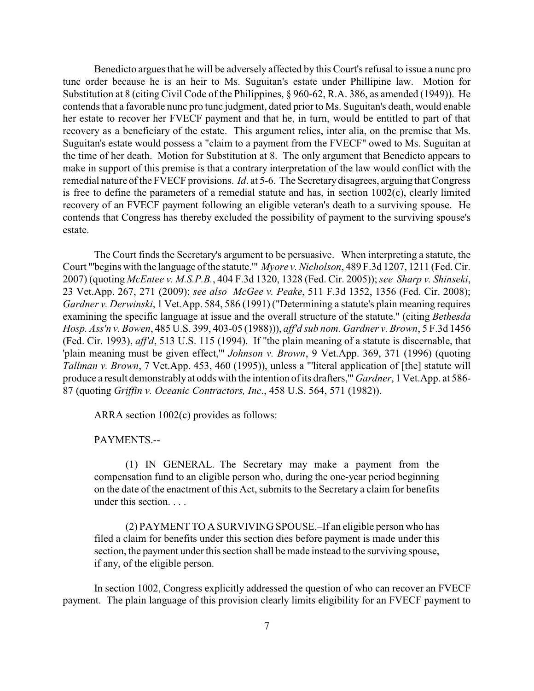Benedicto argues that he will be adversely affected by this Court's refusal to issue a nunc pro tunc order because he is an heir to Ms. Suguitan's estate under Phillipine law. Motion for Substitution at 8 (citing Civil Code of the Philippines, § 960-62, R.A. 386, as amended (1949)). He contends that a favorable nunc pro tunc judgment, dated prior to Ms. Suguitan's death, would enable her estate to recover her FVECF payment and that he, in turn, would be entitled to part of that recovery as a beneficiary of the estate. This argument relies, inter alia, on the premise that Ms. Suguitan's estate would possess a "claim to a payment from the FVECF" owed to Ms. Suguitan at the time of her death. Motion for Substitution at 8. The only argument that Benedicto appears to make in support of this premise is that a contrary interpretation of the law would conflict with the remedial nature of the FVECF provisions. *Id*. at 5-6. The Secretarydisagrees, arguing that Congress is free to define the parameters of a remedial statute and has, in section 1002(c), clearly limited recovery of an FVECF payment following an eligible veteran's death to a surviving spouse. He contends that Congress has thereby excluded the possibility of payment to the surviving spouse's estate.

The Court finds the Secretary's argument to be persuasive. When interpreting a statute, the Court "'begins with the language of the statute.'" *Myore v. Nicholson*, 489 F.3d 1207, 1211 (Fed. Cir. 2007) (quoting *McEntee v. M.S.P.B.*, 404 F.3d 1320, 1328 (Fed. Cir. 2005)); *see Sharp v. Shinseki*, 23 Vet.App. 267, 271 (2009); *see also McGee v. Peake*, 511 F.3d 1352, 1356 (Fed. Cir. 2008); *Gardner v. Derwinski*, 1 Vet.App. 584, 586 (1991) ("Determining a statute's plain meaning requires examining the specific language at issue and the overall structure of the statute." (citing *Bethesda Hosp. Ass'n v. Bowen*, 485 U.S. 399, 403-05 (1988))), *aff'd sub nom. Gardner v. Brown*, 5 F.3d 1456 (Fed. Cir. 1993), *aff'd*, 513 U.S. 115 (1994). If "the plain meaning of a statute is discernable, that 'plain meaning must be given effect,'" *Johnson v. Brown*, 9 Vet.App. 369, 371 (1996) (quoting *Tallman v. Brown*, 7 Vet.App. 453, 460 (1995)), unless a "'literal application of [the] statute will produce a result demonstrably at odds with the intention of its drafters,'" *Gardner*, 1 Vet.App. at 586- 87 (quoting *Griffin v. Oceanic Contractors, Inc*., 458 U.S. 564, 571 (1982)).

ARRA section 1002(c) provides as follows:

PAYMENTS.--

(1) IN GENERAL.–The Secretary may make a payment from the compensation fund to an eligible person who, during the one-year period beginning on the date of the enactment of this Act, submits to the Secretary a claim for benefits under this section. . . .

(2) PAYMENT TO A SURVIVING SPOUSE.–If an eligible person who has filed a claim for benefits under this section dies before payment is made under this section, the payment under this section shall be made instead to the surviving spouse, if any, of the eligible person.

In section 1002, Congress explicitly addressed the question of who can recover an FVECF payment. The plain language of this provision clearly limits eligibility for an FVECF payment to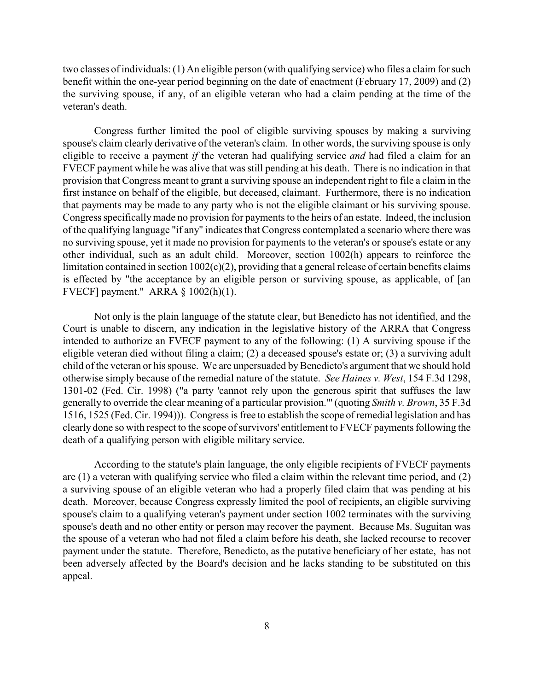two classes of individuals: (1) An eligible person (with qualifying service) who files a claim for such benefit within the one-year period beginning on the date of enactment (February 17, 2009) and (2) the surviving spouse, if any, of an eligible veteran who had a claim pending at the time of the veteran's death.

Congress further limited the pool of eligible surviving spouses by making a surviving spouse's claim clearly derivative of the veteran's claim. In other words, the surviving spouse is only eligible to receive a payment *if* the veteran had qualifying service *and* had filed a claim for an FVECF payment while he was alive that was still pending at his death. There is no indication in that provision that Congress meant to grant a surviving spouse an independent right to file a claim in the first instance on behalf of the eligible, but deceased, claimant. Furthermore, there is no indication that payments may be made to any party who is not the eligible claimant or his surviving spouse. Congress specificallymade no provision for payments to the heirs of an estate. Indeed, the inclusion of the qualifying language "if any" indicates that Congress contemplated a scenario where there was no surviving spouse, yet it made no provision for payments to the veteran's or spouse's estate or any other individual, such as an adult child. Moreover, section 1002(h) appears to reinforce the limitation contained in section 1002(c)(2), providing that a general release of certain benefits claims is effected by "the acceptance by an eligible person or surviving spouse, as applicable, of [an FVECF] payment." ARRA § 1002(h)(1).

Not only is the plain language of the statute clear, but Benedicto has not identified, and the Court is unable to discern, any indication in the legislative history of the ARRA that Congress intended to authorize an FVECF payment to any of the following: (1) A surviving spouse if the eligible veteran died without filing a claim; (2) a deceased spouse's estate or; (3) a surviving adult child of the veteran or his spouse. We are unpersuaded by Benedicto's argument that we should hold otherwise simply because of the remedial nature of the statute. *See Haines v. West*, 154 F.3d 1298, 1301-02 (Fed. Cir. 1998) ("a party 'cannot rely upon the generous spirit that suffuses the law generally to override the clear meaning of a particular provision.'" (quoting *Smith v. Brown*, 35 F.3d 1516, 1525 (Fed. Cir. 1994))). Congress is free to establish the scope of remedial legislation and has clearly done so with respect to the scope of survivors' entitlement to FVECF payments following the death of a qualifying person with eligible military service.

According to the statute's plain language, the only eligible recipients of FVECF payments are (1) a veteran with qualifying service who filed a claim within the relevant time period, and (2) a surviving spouse of an eligible veteran who had a properly filed claim that was pending at his death. Moreover, because Congress expressly limited the pool of recipients, an eligible surviving spouse's claim to a qualifying veteran's payment under section 1002 terminates with the surviving spouse's death and no other entity or person may recover the payment. Because Ms. Suguitan was the spouse of a veteran who had not filed a claim before his death, she lacked recourse to recover payment under the statute. Therefore, Benedicto, as the putative beneficiary of her estate, has not been adversely affected by the Board's decision and he lacks standing to be substituted on this appeal.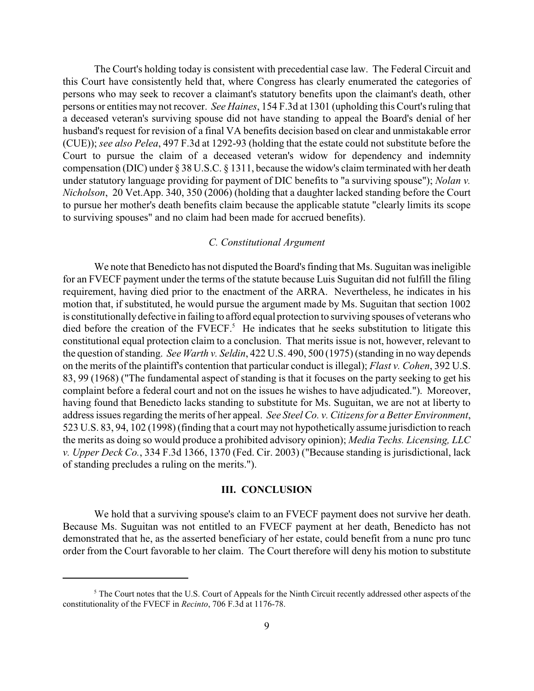The Court's holding today is consistent with precedential case law. The Federal Circuit and this Court have consistently held that, where Congress has clearly enumerated the categories of persons who may seek to recover a claimant's statutory benefits upon the claimant's death, other persons or entities may not recover. *See Haines*, 154 F.3d at 1301 (upholding this Court's ruling that a deceased veteran's surviving spouse did not have standing to appeal the Board's denial of her husband's request for revision of a final VA benefits decision based on clear and unmistakable error (CUE)); *see also Pelea*, 497 F.3d at 1292-93 (holding that the estate could not substitute before the Court to pursue the claim of a deceased veteran's widow for dependency and indemnity compensation (DIC) under § 38 U.S.C. § 1311, because the widow's claim terminated with her death under statutory language providing for payment of DIC benefits to "a surviving spouse"); *Nolan v. Nicholson*, 20 Vet.App. 340, 350 (2006) (holding that a daughter lacked standing before the Court to pursue her mother's death benefits claim because the applicable statute "clearly limits its scope to surviving spouses" and no claim had been made for accrued benefits).

## *C. Constitutional Argument*

We note that Benedicto has not disputed the Board's finding that Ms. Suguitan was ineligible for an FVECF payment under the terms of the statute because Luis Suguitan did not fulfill the filing requirement, having died prior to the enactment of the ARRA. Nevertheless, he indicates in his motion that, if substituted, he would pursue the argument made by Ms. Suguitan that section 1002 is constitutionally defective in failing to afford equal protection to surviving spouses of veterans who died before the creation of the  $\text{FVECF.}^5$ . He indicates that he seeks substitution to litigate this constitutional equal protection claim to a conclusion. That merits issue is not, however, relevant to the question of standing. *See Warth v. Seldin*, 422 U.S. 490, 500 (1975) (standing in no way depends on the merits of the plaintiff's contention that particular conduct is illegal); *Flast v. Cohen*, 392 U.S. 83, 99 (1968) ("The fundamental aspect of standing is that it focuses on the party seeking to get his complaint before a federal court and not on the issues he wishes to have adjudicated."). Moreover, having found that Benedicto lacks standing to substitute for Ms. Suguitan, we are not at liberty to address issues regarding the merits of her appeal. *See Steel Co. v. Citizens for a Better Environment*, 523 U.S. 83, 94, 102 (1998) (finding that a court may not hypothetically assume jurisdiction to reach the merits as doing so would produce a prohibited advisory opinion); *Media Techs. Licensing, LLC v. Upper Deck Co.*, 334 F.3d 1366, 1370 (Fed. Cir. 2003) ("Because standing is jurisdictional, lack of standing precludes a ruling on the merits.").

## **III. CONCLUSION**

We hold that a surviving spouse's claim to an FVECF payment does not survive her death. Because Ms. Suguitan was not entitled to an FVECF payment at her death, Benedicto has not demonstrated that he, as the asserted beneficiary of her estate, could benefit from a nunc pro tunc order from the Court favorable to her claim. The Court therefore will deny his motion to substitute

 $5$  The Court notes that the U.S. Court of Appeals for the Ninth Circuit recently addressed other aspects of the constitutionality of the FVECF in *Recinto*, 706 F.3d at 1176-78.